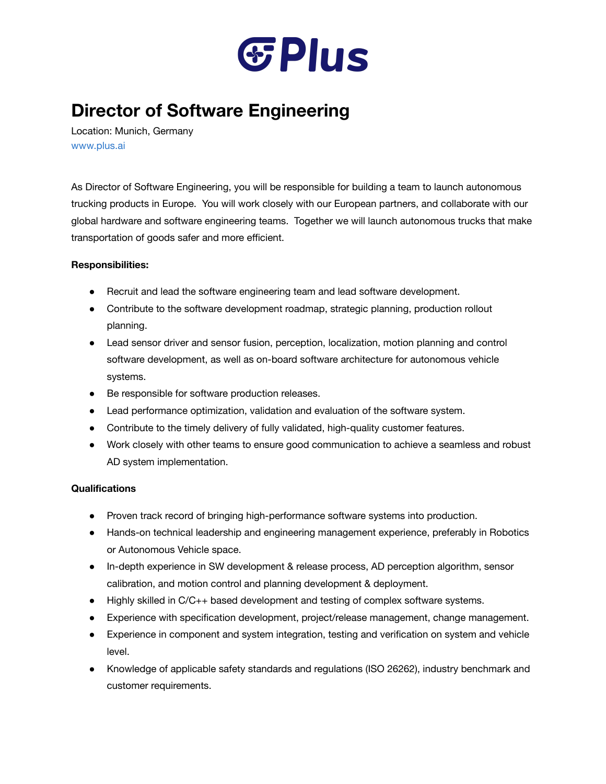

## **Director of Software Engineering**

Location: Munich, Germany [www.plus.ai](http://www.plus.ai/)

As Director of Software Engineering, you will be responsible for building a team to launch autonomous trucking products in Europe. You will work closely with our European partners, and collaborate with our global hardware and software engineering teams. Together we will launch autonomous trucks that make transportation of goods safer and more efficient.

## **Responsibilities:**

- Recruit and lead the software engineering team and lead software development.
- Contribute to the software development roadmap, strategic planning, production rollout planning.
- Lead sensor driver and sensor fusion, perception, localization, motion planning and control software development, as well as on-board software architecture for autonomous vehicle systems.
- Be responsible for software production releases.
- Lead performance optimization, validation and evaluation of the software system.
- Contribute to the timely delivery of fully validated, high-quality customer features.
- Work closely with other teams to ensure good communication to achieve a seamless and robust AD system implementation.

## **Qualifications**

- Proven track record of bringing high-performance software systems into production.
- Hands-on technical leadership and engineering management experience, preferably in Robotics or Autonomous Vehicle space.
- In-depth experience in SW development & release process, AD perception algorithm, sensor calibration, and motion control and planning development & deployment.
- Highly skilled in C/C++ based development and testing of complex software systems.
- Experience with specification development, project/release management, change management.
- Experience in component and system integration, testing and verification on system and vehicle level.
- Knowledge of applicable safety standards and regulations (ISO 26262), industry benchmark and customer requirements.